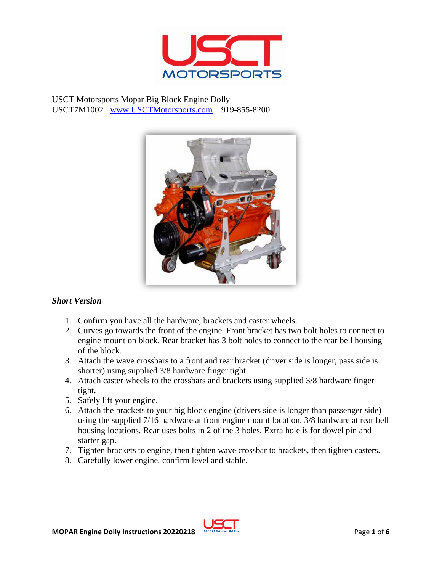

USCT Motorsports Mopar Big Block Engine Dolly USCT7M1002 [www.USCTMotorsports.com](http://www.usctmotorsports.com/) 919-855-8200



## *Short Version*

- 1. Confirm you have all the hardware, brackets and caster wheels.
- 2. Curves go towards the front of the engine. Front bracket has two bolt holes to connect to engine mount on block. Rear bracket has 3 bolt holes to connect to the rear bell housing of the block.
- 3. Attach the wave crossbars to a front and rear bracket (driver side is longer, pass side is shorter) using supplied 3/8 hardware finger tight.
- 4. Attach caster wheels to the crossbars and brackets using supplied 3/8 hardware finger tight.
- 5. Safely lift your engine.
- 6. Attach the brackets to your big block engine (drivers side is longer than passenger side) using the supplied 7/16 hardware at front engine mount location, 3/8 hardware at rear bell housing locations. Rear uses bolts in 2 of the 3 holes. Extra hole is for dowel pin and starter gap.
- 7. Tighten brackets to engine, then tighten wave crossbar to brackets, then tighten casters.
- 8. Carefully lower engine, confirm level and stable.

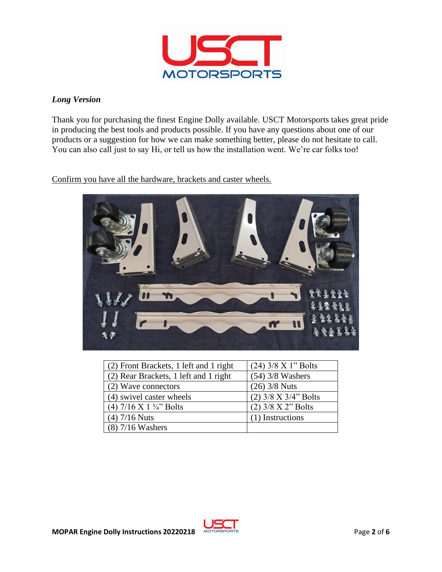

# *Long Version*

Thank you for purchasing the finest Engine Dolly available. USCT Motorsports takes great pride in producing the best tools and products possible. If you have any questions about one of our products or a suggestion for how we can make something better, please do not hesitate to call. You can also call just to say Hi, or tell us how the installation went. We're car folks too!

# Confirm you have all the hardware, brackets and caster wheels.



| (2) Front Brackets, 1 left and 1 right | $(24)$ 3/8 X 1" Bolts  |
|----------------------------------------|------------------------|
| (2) Rear Brackets, 1 left and 1 right  | $(54)$ 3/8 Washers     |
| (2) Wave connectors                    | $(26)$ 3/8 Nuts        |
| (4) swivel caster wheels               | $(2)$ 3/8 X 3/4" Bolts |
| $(4)$ 7/16 X 1 3/4" Bolts              | $(2)$ 3/8 X 2" Bolts   |
| $(4)$ 7/16 Nuts                        | (1) Instructions       |
| $(8)$ 7/16 Washers                     |                        |

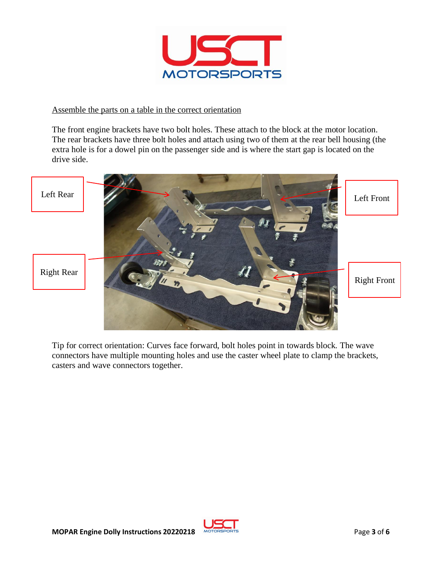

#### Assemble the parts on a table in the correct orientation

The front engine brackets have two bolt holes. These attach to the block at the motor location. The rear brackets have three bolt holes and attach using two of them at the rear bell housing (the extra hole is for a dowel pin on the passenger side and is where the start gap is located on the drive side.



Tip for correct orientation: Curves face forward, bolt holes point in towards block. The wave connectors have multiple mounting holes and use the caster wheel plate to clamp the brackets, casters and wave connectors together.

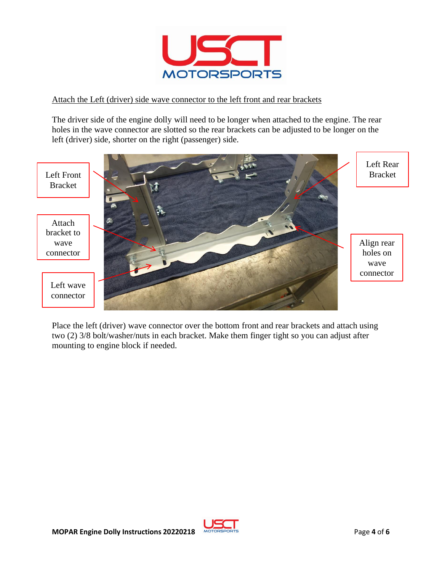

## Attach the Left (driver) side wave connector to the left front and rear brackets

The driver side of the engine dolly will need to be longer when attached to the engine. The rear holes in the wave connector are slotted so the rear brackets can be adjusted to be longer on the left (driver) side, shorter on the right (passenger) side.



Place the left (driver) wave connector over the bottom front and rear brackets and attach using two (2) 3/8 bolt/washer/nuts in each bracket. Make them finger tight so you can adjust after mounting to engine block if needed.

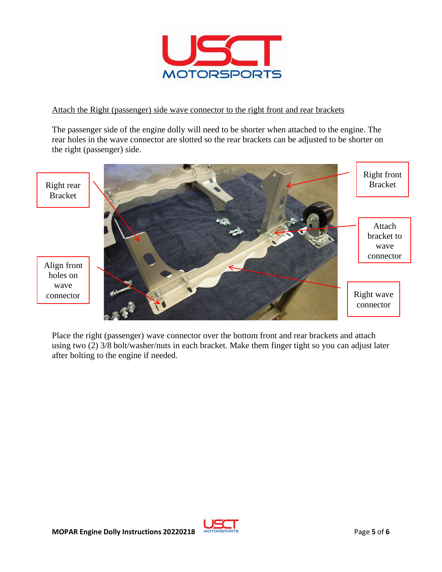

## Attach the Right (passenger) side wave connector to the right front and rear brackets

The passenger side of the engine dolly will need to be shorter when attached to the engine. The rear holes in the wave connector are slotted so the rear brackets can be adjusted to be shorter on the right (passenger) side.



Place the right (passenger) wave connector over the bottom front and rear brackets and attach using two (2) 3/8 bolt/washer/nuts in each bracket. Make them finger tight so you can adjust later after bolting to the engine if needed.